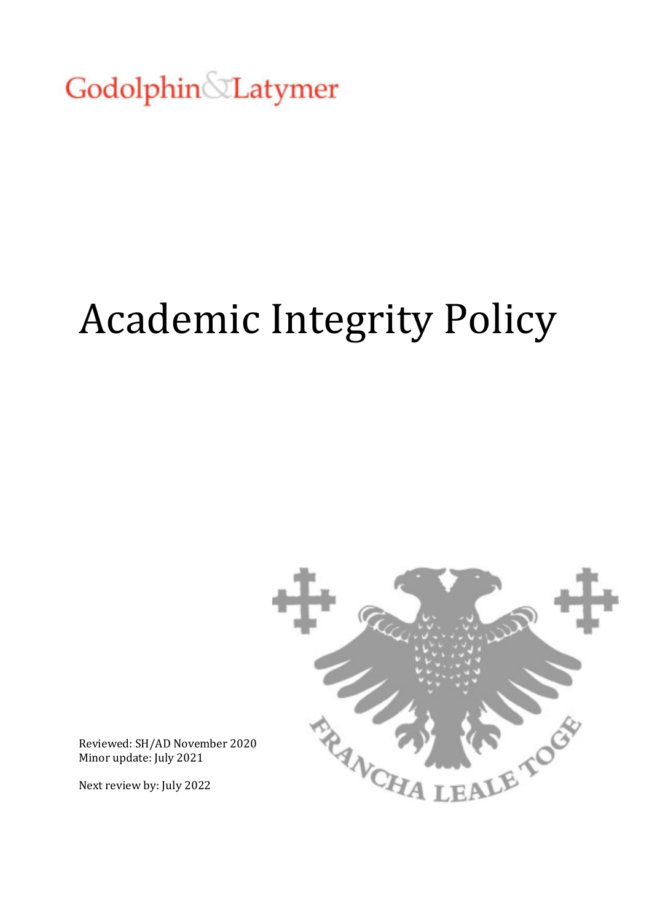Godolphin Latymer

# Academic Integrity Policy



Reviewed: SH/AD November 2020 Minor update: July 2021

Next review by: July 2022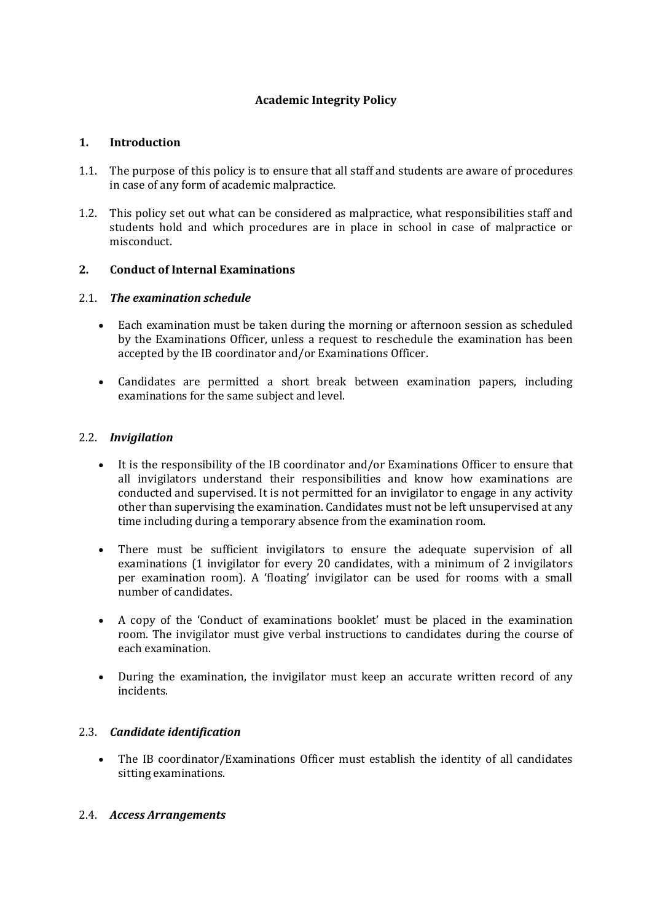## **Academic Integrity Policy**

#### **1. Introduction**

- 1.1. The purpose of this policy is to ensure that all staff and students are aware of procedures in case of any form of academic malpractice.
- 1.2. This policy set out what can be considered as malpractice, what responsibilities staff and students hold and which procedures are in place in school in case of malpractice or misconduct.

#### **2. Conduct of Internal Examinations**

#### 2.1. *The examination schedule*

- Each examination must be taken during the morning or afternoon session as scheduled by the Examinations Officer, unless a request to reschedule the examination has been accepted by the IB coordinator and/or Examinations Officer.
- Candidates are permitted a short break between examination papers, including examinations for the same subject and level.

#### 2.2. *Invigilation*

- It is the responsibility of the IB coordinator and/or Examinations Officer to ensure that all invigilators understand their responsibilities and know how examinations are conducted and supervised. It is not permitted for an invigilator to engage in any activity other than supervising the examination. Candidates must not be left unsupervised at any time including during a temporary absence from the examination room.
- There must be sufficient invigilators to ensure the adequate supervision of all examinations (1 invigilator for every 20 candidates, with a minimum of 2 invigilators per examination room). A 'floating' invigilator can be used for rooms with a small number of candidates.
- A copy of the 'Conduct of examinations booklet' must be placed in the examination room. The invigilator must give verbal instructions to candidates during the course of each examination.
- During the examination, the invigilator must keep an accurate written record of any incidents.

## 2.3. *Candidate identification*

 The IB coordinator/Examinations Officer must establish the identity of all candidates sitting examinations.

#### 2.4. *Access Arrangements*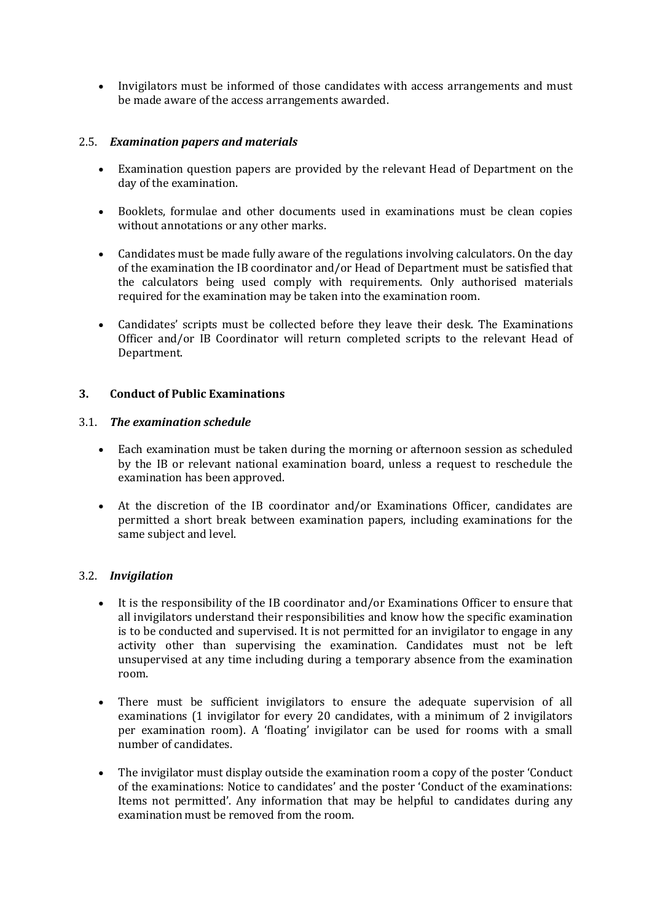Invigilators must be informed of those candidates with access arrangements and must be made aware of the access arrangements awarded.

## 2.5. *Examination papers and materials*

- Examination question papers are provided by the relevant Head of Department on the day of the examination.
- Booklets, formulae and other documents used in examinations must be clean copies without annotations or any other marks.
- Candidates must be made fully aware of the regulations involving calculators. On the day of the examination the IB coordinator and/or Head of Department must be satisfied that the calculators being used comply with requirements. Only authorised materials required for the examination may be taken into the examination room.
- Candidates' scripts must be collected before they leave their desk. The Examinations Officer and/or IB Coordinator will return completed scripts to the relevant Head of Department.

## **3. Conduct of Public Examinations**

#### 3.1. *The examination schedule*

- Each examination must be taken during the morning or afternoon session as scheduled by the IB or relevant national examination board, unless a request to reschedule the examination has been approved.
- At the discretion of the IB coordinator and/or Examinations Officer, candidates are permitted a short break between examination papers, including examinations for the same subject and level.

## 3.2. *Invigilation*

- It is the responsibility of the IB coordinator and/or Examinations Officer to ensure that all invigilators understand their responsibilities and know how the specific examination is to be conducted and supervised. It is not permitted for an invigilator to engage in any activity other than supervising the examination. Candidates must not be left unsupervised at any time including during a temporary absence from the examination room.
- There must be sufficient invigilators to ensure the adequate supervision of all examinations (1 invigilator for every 20 candidates, with a minimum of 2 invigilators per examination room). A 'floating' invigilator can be used for rooms with a small number of candidates.
- The invigilator must display outside the examination room a copy of the poster 'Conduct of the examinations: Notice to candidates' and the poster 'Conduct of the examinations: Items not permitted'. Any information that may be helpful to candidates during any examination must be removed from the room.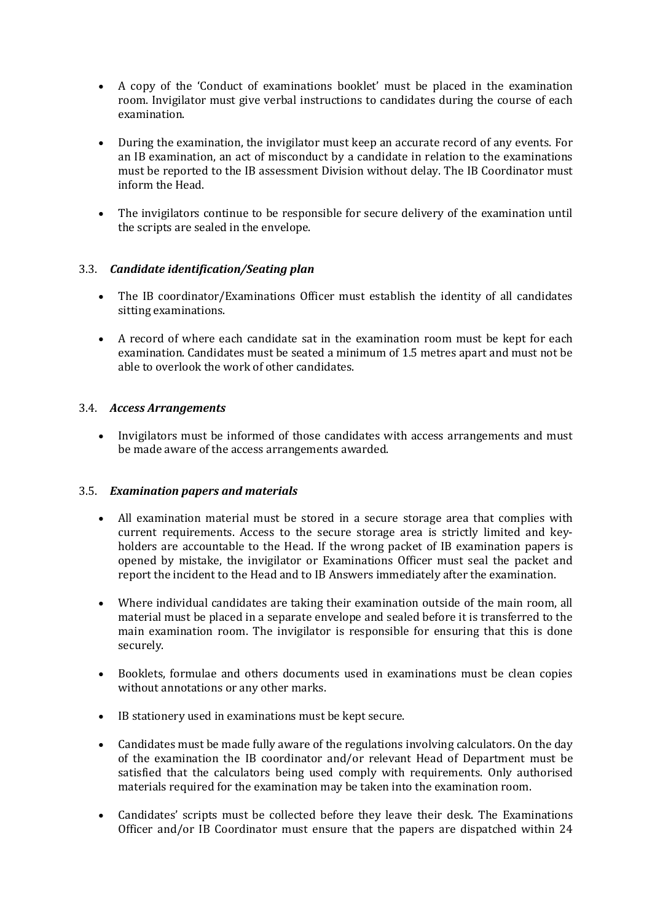- A copy of the 'Conduct of examinations booklet' must be placed in the examination room. Invigilator must give verbal instructions to candidates during the course of each examination.
- During the examination, the invigilator must keep an accurate record of any events. For an IB examination, an act of misconduct by a candidate in relation to the examinations must be reported to the IB assessment Division without delay. The IB Coordinator must inform the Head.
- The invigilators continue to be responsible for secure delivery of the examination until the scripts are sealed in the envelope.

## 3.3. *Candidate identification/Seating plan*

- The IB coordinator/Examinations Officer must establish the identity of all candidates sitting examinations.
- A record of where each candidate sat in the examination room must be kept for each examination. Candidates must be seated a minimum of 1.5 metres apart and must not be able to overlook the work of other candidates.

## 3.4. *Access Arrangements*

 Invigilators must be informed of those candidates with access arrangements and must be made aware of the access arrangements awarded.

## 3.5. *Examination papers and materials*

- All examination material must be stored in a secure storage area that complies with current requirements. Access to the secure storage area is strictly limited and keyholders are accountable to the Head. If the wrong packet of IB examination papers is opened by mistake, the invigilator or Examinations Officer must seal the packet and report the incident to the Head and to IB Answers immediately after the examination.
- Where individual candidates are taking their examination outside of the main room, all material must be placed in a separate envelope and sealed before it is transferred to the main examination room. The invigilator is responsible for ensuring that this is done securely.
- Booklets, formulae and others documents used in examinations must be clean copies without annotations or any other marks.
- IB stationery used in examinations must be kept secure.
- Candidates must be made fully aware of the regulations involving calculators. On the day of the examination the IB coordinator and/or relevant Head of Department must be satisfied that the calculators being used comply with requirements. Only authorised materials required for the examination may be taken into the examination room.
- Candidates' scripts must be collected before they leave their desk. The Examinations Officer and/or IB Coordinator must ensure that the papers are dispatched within 24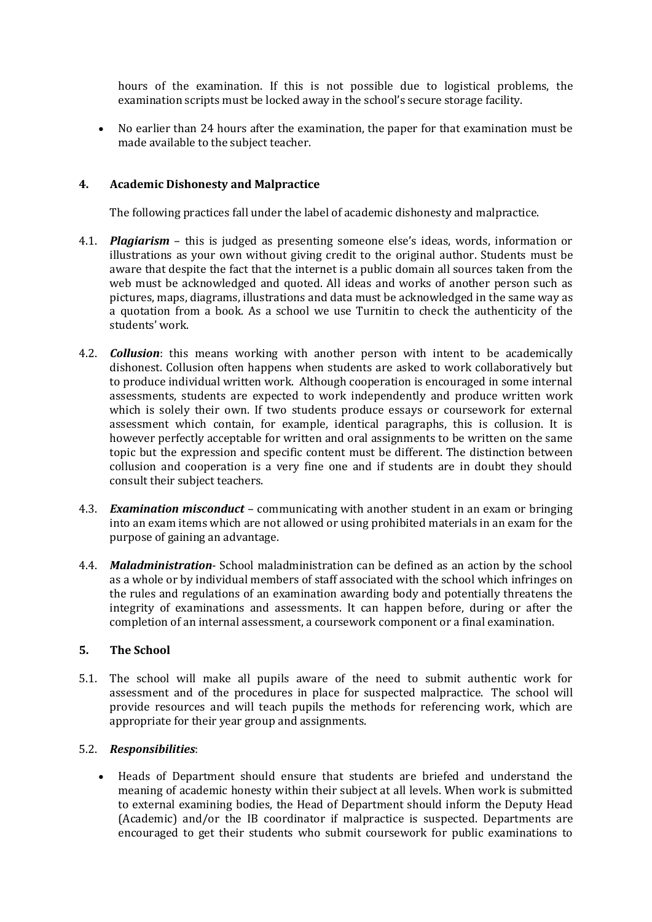hours of the examination. If this is not possible due to logistical problems, the examination scripts must be locked away in the school's secure storage facility.

 No earlier than 24 hours after the examination, the paper for that examination must be made available to the subject teacher.

#### **4. Academic Dishonesty and Malpractice**

The following practices fall under the label of academic dishonesty and malpractice.

- 4.1. *Plagiarism* this is judged as presenting someone else's ideas, words, information or illustrations as your own without giving credit to the original author. Students must be aware that despite the fact that the internet is a public domain all sources taken from the web must be acknowledged and quoted. All ideas and works of another person such as pictures, maps, diagrams, illustrations and data must be acknowledged in the same way as a quotation from a book. As a school we use Turnitin to check the authenticity of the students' work.
- 4.2. *Collusion*: this means working with another person with intent to be academically dishonest. Collusion often happens when students are asked to work collaboratively but to produce individual written work. Although cooperation is encouraged in some internal assessments, students are expected to work independently and produce written work which is solely their own. If two students produce essays or coursework for external assessment which contain, for example, identical paragraphs, this is collusion. It is however perfectly acceptable for written and oral assignments to be written on the same topic but the expression and specific content must be different. The distinction between collusion and cooperation is a very fine one and if students are in doubt they should consult their subject teachers.
- 4.3. *Examination misconduct* communicating with another student in an exam or bringing into an exam items which are not allowed or using prohibited materials in an exam for the purpose of gaining an advantage.
- 4.4. *Maladministration* School maladministration can be defined as an action by the school as a whole or by individual members of staff associated with the school which infringes on the rules and regulations of an examination awarding body and potentially threatens the integrity of examinations and assessments. It can happen before, during or after the completion of an internal assessment, a coursework component or a final examination.

#### **5. The School**

5.1. The school will make all pupils aware of the need to submit authentic work for assessment and of the procedures in place for suspected malpractice. The school will provide resources and will teach pupils the methods for referencing work, which are appropriate for their year group and assignments.

#### 5.2. *Responsibilities*:

 Heads of Department should ensure that students are briefed and understand the meaning of academic honesty within their subject at all levels. When work is submitted to external examining bodies, the Head of Department should inform the Deputy Head (Academic) and/or the IB coordinator if malpractice is suspected. Departments are encouraged to get their students who submit coursework for public examinations to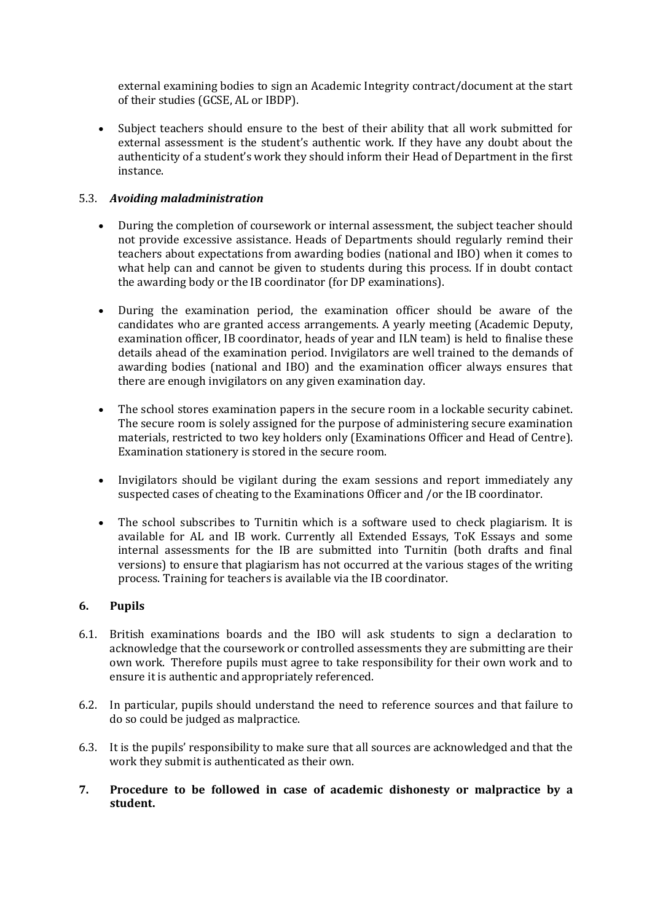external examining bodies to sign an Academic Integrity contract/document at the start of their studies (GCSE, AL or IBDP).

 Subject teachers should ensure to the best of their ability that all work submitted for external assessment is the student's authentic work. If they have any doubt about the authenticity of a student's work they should inform their Head of Department in the first instance.

## 5.3. *Avoiding maladministration*

- During the completion of coursework or internal assessment, the subject teacher should not provide excessive assistance. Heads of Departments should regularly remind their teachers about expectations from awarding bodies (national and IBO) when it comes to what help can and cannot be given to students during this process. If in doubt contact the awarding body or the IB coordinator (for DP examinations).
- During the examination period, the examination officer should be aware of the candidates who are granted access arrangements. A yearly meeting (Academic Deputy, examination officer, IB coordinator, heads of year and ILN team) is held to finalise these details ahead of the examination period. Invigilators are well trained to the demands of awarding bodies (national and IBO) and the examination officer always ensures that there are enough invigilators on any given examination day.
- The school stores examination papers in the secure room in a lockable security cabinet. The secure room is solely assigned for the purpose of administering secure examination materials, restricted to two key holders only (Examinations Officer and Head of Centre). Examination stationery is stored in the secure room.
- Invigilators should be vigilant during the exam sessions and report immediately any suspected cases of cheating to the Examinations Officer and /or the IB coordinator.
- The school subscribes to Turnitin which is a software used to check plagiarism. It is available for AL and IB work. Currently all Extended Essays, ToK Essays and some internal assessments for the IB are submitted into Turnitin (both drafts and final versions) to ensure that plagiarism has not occurred at the various stages of the writing process. Training for teachers is available via the IB coordinator.

## **6. Pupils**

- 6.1. British examinations boards and the IBO will ask students to sign a declaration to acknowledge that the coursework or controlled assessments they are submitting are their own work. Therefore pupils must agree to take responsibility for their own work and to ensure it is authentic and appropriately referenced.
- 6.2. In particular, pupils should understand the need to reference sources and that failure to do so could be judged as malpractice.
- 6.3. It is the pupils' responsibility to make sure that all sources are acknowledged and that the work they submit is authenticated as their own.
- **7. Procedure to be followed in case of academic dishonesty or malpractice by a student.**